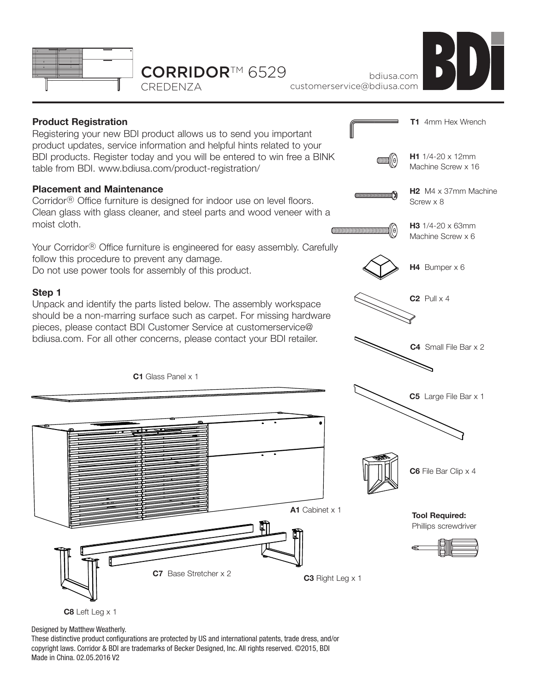

bdiusa.com customerservice@bdiusa.com



# **Product Registration T1** 4mm Hex Wrench Registering your new BDI product allows us to send you important product updates, service information and helpful hints related to your BDI products. Register today and you will be entered to win free a BINK **H1** 1/4-20 x 12mm ammall (ə table from BDI. www.bdiusa.com/product-registration/ Machine Screw x 16 **Placement and Maintenance H2** M4 x 37mm Machine Corridor® Office furniture is designed for indoor use on level floors. Screw x 8 Clean glass with glass cleaner, and steel parts and wood veneer with a moist cloth. **H3** 1/4-20 x 63mm ammmmmmmmmm Machine Screw x 6 Your Corridor<sup>®</sup> Office furniture is engineered for easy assembly. Carefully follow this procedure to prevent any damage. **H4** Bumper x 6 Do not use power tools for assembly of this product. **Step 1 C2** Pull x 4 Unpack and identify the parts listed below. The assembly workspace should be a non-marring surface such as carpet. For missing hardware pieces, please contact BDI Customer Service at customerservice@ bdiusa.com. For all other concerns, please contact your BDI retailer. **C4** Small File Bar x 2 **C1** Glass Panel x 1 **C5** Large File Bar x 1 **C6** File Bar Clip x 4 **A1** Cabinet x 1 **Tool Required:** Phillips screwdriver **C7** Base Stretcher x 2 **C3** Right Leg x 1 **C8** Left Leg x 1

Designed by Matthew Weatherly.

These distinctive product configurations are protected by US and international patents, trade dress, and/or copyright laws. Corridor & BDI are trademarks of Becker Designed, Inc. All rights reserved. ©2015, BDI Made in China. 02.05.2016 V2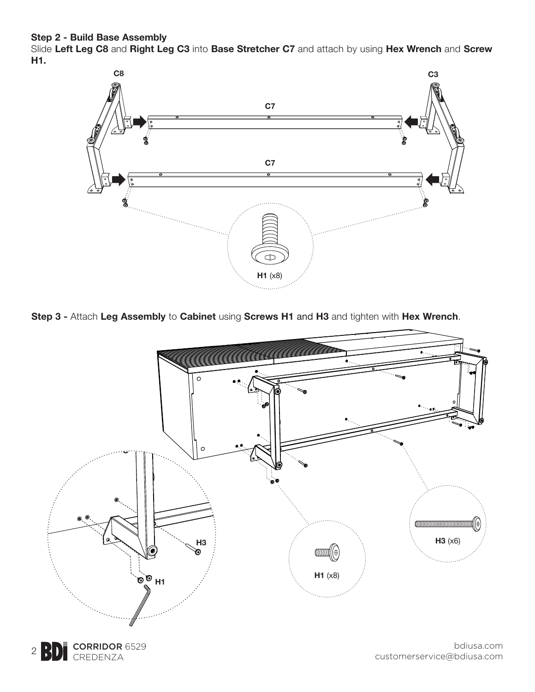### **Step 2 - Build Base Assembly**

Slide **Left Leg C8** and **Right Leg C3** into **Base Stretcher C7** and attach by using **Hex Wrench** and **Screw H1.**



**Step 3 -** Attach **Leg Assembly** to **Cabinet** using **Screws H1** and **H3** and tighten with **Hex Wrench**.





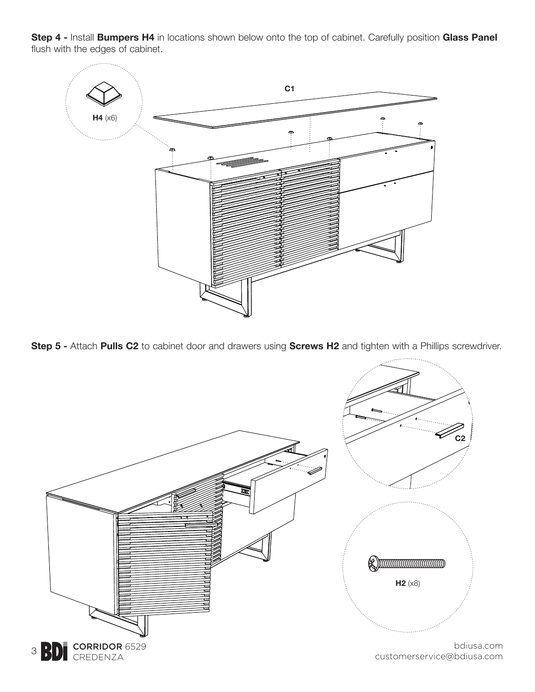**Step 4 -** Install **Bumpers H4** in locations shown below onto the top of cabinet. Carefully position **Glass Panel** flush with the edges of cabinet.



**Step 5 -** Attach **Pulls C2** to cabinet door and drawers using **Screws H2** and tighten with a Phillips screwdriver.

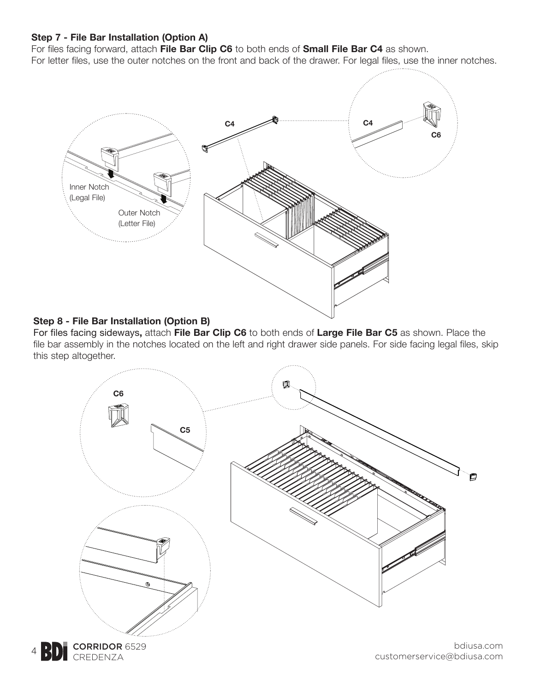#### **Step 7 - File Bar Installation (Option A)**

For files facing forward, attach **File Bar Clip C6** to both ends of **Small File Bar C4** as shown.

For letter files, use the outer notches on the front and back of the drawer. For legal files, use the inner notches.



#### **Step 8 - File Bar Installation (Option B)**

For files facing sideways**,** attach **File Bar Clip C6** to both ends of **Large File Bar C5** as shown. Place the file bar assembly in the notches located on the left and right drawer side panels. For side facing legal files, skip this step altogether.



![](_page_3_Picture_7.jpeg)